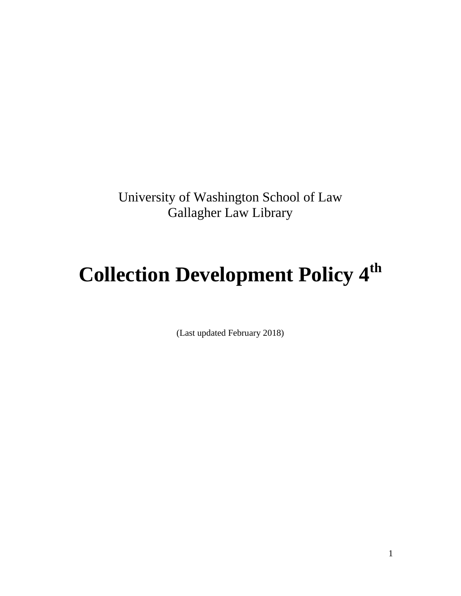University of Washington School of Law Gallagher Law Library

# **Collection Development Policy 4th**

(Last updated February 2018)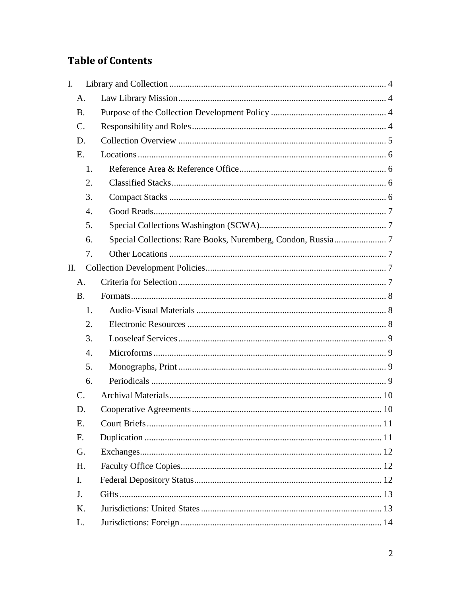## **Table of Contents**

| I.              |                  |  |
|-----------------|------------------|--|
| A.              |                  |  |
| <b>B.</b>       |                  |  |
| $\mathcal{C}$ . |                  |  |
| D.              |                  |  |
| E.              |                  |  |
|                 | 1.               |  |
|                 | 2.               |  |
|                 | 3.               |  |
|                 | $\overline{4}$ . |  |
|                 | 5.               |  |
|                 | 6.               |  |
|                 | 7.               |  |
| Η.              |                  |  |
| A.              |                  |  |
| <b>B.</b>       |                  |  |
|                 | 1.               |  |
|                 | 2.               |  |
|                 | 3.               |  |
|                 | $\overline{4}$ . |  |
|                 | 5.               |  |
|                 | 6.               |  |
| $\mathcal{C}$ . |                  |  |
| D.              |                  |  |
| E.              |                  |  |
| F.              |                  |  |
| G.              |                  |  |
| H.              |                  |  |
| I.              |                  |  |
| J.              |                  |  |
| K.              |                  |  |
| L.              |                  |  |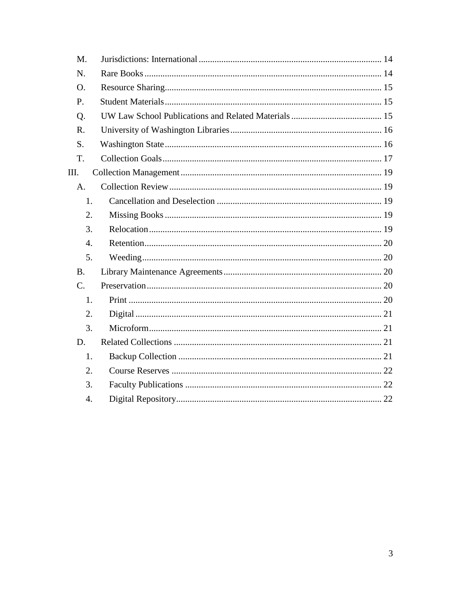| M.               |  |
|------------------|--|
| N.               |  |
| Ο.               |  |
| P.               |  |
| Q.               |  |
| R.               |  |
| S.               |  |
| T.               |  |
| Ш.               |  |
| A.               |  |
| 1.               |  |
| 2.               |  |
| 3.               |  |
| $\overline{4}$ . |  |
| 5.               |  |
| <b>B.</b>        |  |
| $C_{\cdot}$      |  |
| 1.               |  |
| 2.               |  |
| 3.               |  |
| D.               |  |
| 1.               |  |
| 2.               |  |
| 3.               |  |
| $\overline{4}$ . |  |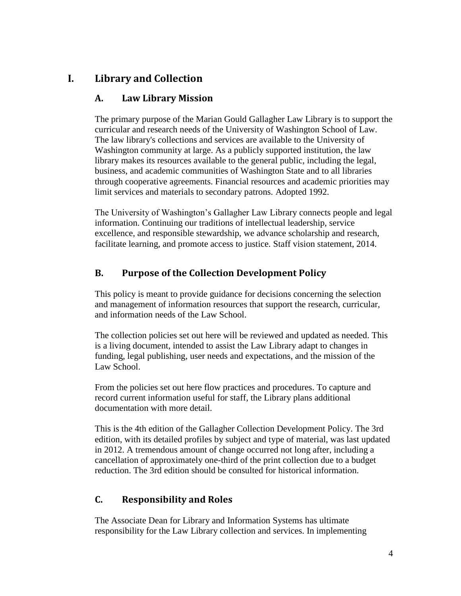## <span id="page-3-1"></span><span id="page-3-0"></span>**I. Library and Collection**

## **A. Law Library Mission**

The primary purpose of the Marian Gould Gallagher Law Library is to support the curricular and research needs of the University of Washington School of Law. The law library's collections and services are available to the University of Washington community at large. As a publicly supported institution, the law library makes its resources available to the general public, including the legal, business, and academic communities of Washington State and to all libraries through cooperative agreements. Financial resources and academic priorities may limit services and materials to secondary patrons. Adopted 1992.

The University of Washington's Gallagher Law Library connects people and legal information. Continuing our traditions of intellectual leadership, service excellence, and responsible stewardship, we advance scholarship and research, facilitate learning, and promote access to justice. Staff vision statement, 2014.

## <span id="page-3-2"></span>**B. Purpose of the Collection Development Policy**

This policy is meant to provide guidance for decisions concerning the selection and management of information resources that support the research, curricular, and information needs of the Law School.

The collection policies set out here will be reviewed and updated as needed. This is a living document, intended to assist the Law Library adapt to changes in funding, legal publishing, user needs and expectations, and the mission of the Law School.

From the policies set out here flow practices and procedures. To capture and record current information useful for staff, the Library plans additional documentation with more detail.

This is the 4th edition of the Gallagher Collection Development Policy. The 3rd edition, with its detailed profiles by subject and type of material, was last updated in 2012. A tremendous amount of change occurred not long after, including a cancellation of approximately one-third of the print collection due to a budget reduction. The 3rd edition should be consulted for historical information.

## <span id="page-3-3"></span>**C. Responsibility and Roles**

The Associate Dean for Library and Information Systems has ultimate responsibility for the Law Library collection and services. In implementing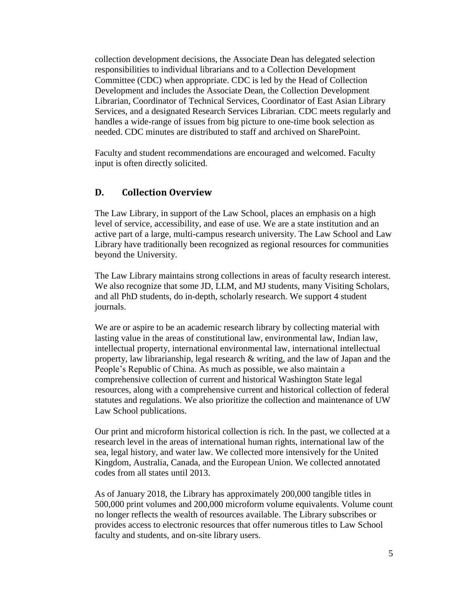collection development decisions, the Associate Dean has delegated selection responsibilities to individual librarians and to a Collection Development Committee (CDC) when appropriate. CDC is led by the Head of Collection Development and includes the Associate Dean, the Collection Development Librarian, Coordinator of Technical Services, Coordinator of East Asian Library Services, and a designated Research Services Librarian. CDC meets regularly and handles a wide-range of issues from big picture to one-time book selection as needed. CDC minutes are distributed to staff and archived on SharePoint.

Faculty and student recommendations are encouraged and welcomed. Faculty input is often directly solicited.

#### <span id="page-4-0"></span>**D. Collection Overview**

The Law Library, in support of the Law School, places an emphasis on a high level of service, accessibility, and ease of use. We are a state institution and an active part of a large, multi-campus research university. The Law School and Law Library have traditionally been recognized as regional resources for communities beyond the University.

The Law Library maintains strong collections in areas of faculty research interest. We also recognize that some JD, LLM, and MJ students, many Visiting Scholars, and all PhD students, do in-depth, scholarly research. We support 4 student journals.

We are or aspire to be an academic research library by collecting material with lasting value in the areas of constitutional law, environmental law, Indian law, intellectual property, international environmental law, international intellectual property, law librarianship, legal research & writing, and the law of Japan and the People's Republic of China. As much as possible, we also maintain a comprehensive collection of current and historical Washington State legal resources, along with a comprehensive current and historical collection of federal statutes and regulations. We also prioritize the collection and maintenance of UW Law School publications.

Our print and microform historical collection is rich. In the past, we collected at a research level in the areas of international human rights, international law of the sea, legal history, and water law. We collected more intensively for the United Kingdom, Australia, Canada, and the European Union. We collected annotated codes from all states until 2013.

As of January 2018, the Library has approximately 200,000 tangible titles in 500,000 print volumes and 200,000 microform volume equivalents. Volume count no longer reflects the wealth of resources available. The Library subscribes or provides access to electronic resources that offer numerous titles to Law School faculty and students, and on-site library users.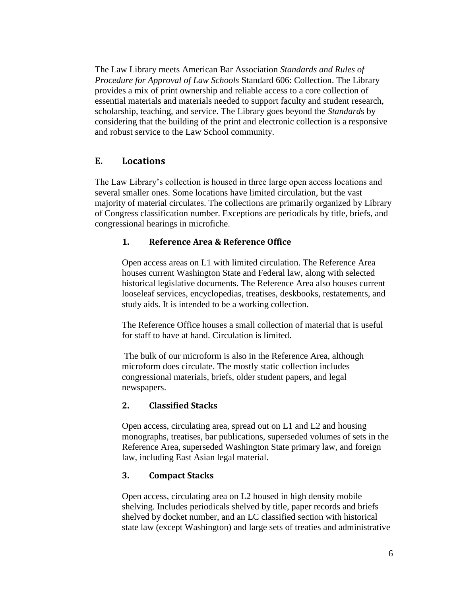The Law Library meets American Bar Association *Standards and Rules of Procedure for Approval of Law Schools* Standard 606: Collection. The Library provides a mix of print ownership and reliable access to a core collection of essential materials and materials needed to support faculty and student research, scholarship, teaching, and service. The Library goes beyond the *Standard*s by considering that the building of the print and electronic collection is a responsive and robust service to the Law School community.

## <span id="page-5-0"></span>**E. Locations**

The Law Library's collection is housed in three large open access locations and several smaller ones. Some locations have limited circulation, but the vast majority of material circulates. The collections are primarily organized by Library of Congress classification number. Exceptions are periodicals by title, briefs, and congressional hearings in microfiche.

#### <span id="page-5-1"></span>**1. Reference Area & Reference Office**

Open access areas on L1 with limited circulation. The Reference Area houses current Washington State and Federal law, along with selected historical legislative documents. The Reference Area also houses current looseleaf services, encyclopedias, treatises, deskbooks, restatements, and study aids. It is intended to be a working collection.

The Reference Office houses a small collection of material that is useful for staff to have at hand. Circulation is limited.

The bulk of our microform is also in the Reference Area, although microform does circulate. The mostly static collection includes congressional materials, briefs, older student papers, and legal newspapers.

## <span id="page-5-2"></span>**2. Classified Stacks**

Open access, circulating area, spread out on L1 and L2 and housing monographs, treatises, bar publications, superseded volumes of sets in the Reference Area, superseded Washington State primary law, and foreign law, including East Asian legal material.

#### <span id="page-5-3"></span>**3. Compact Stacks**

Open access, circulating area on L2 housed in high density mobile shelving. Includes periodicals shelved by title, paper records and briefs shelved by docket number, and an LC classified section with historical state law (except Washington) and large sets of treaties and administrative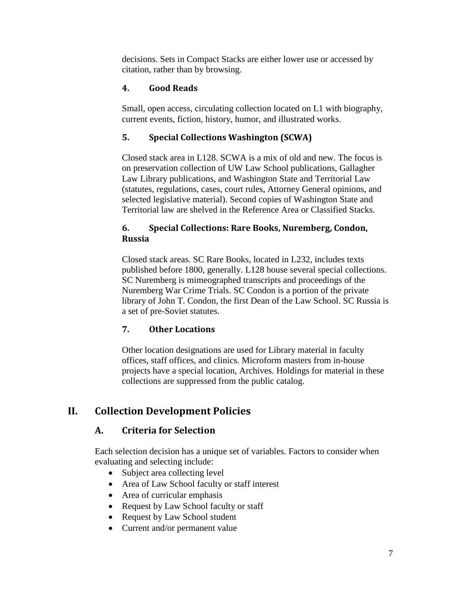decisions. Sets in Compact Stacks are either lower use or accessed by citation, rather than by browsing.

## <span id="page-6-0"></span>**4. Good Reads**

Small, open access, circulating collection located on L1 with biography, current events, fiction, history, humor, and illustrated works.

#### <span id="page-6-1"></span>**5. Special Collections Washington (SCWA)**

Closed stack area in L128. SCWA is a mix of old and new. The focus is on preservation collection of UW Law School publications, Gallagher Law Library publications, and Washington State and Territorial Law (statutes, regulations, cases, court rules, Attorney General opinions, and selected legislative material). Second copies of Washington State and Territorial law are shelved in the Reference Area or Classified Stacks.

#### <span id="page-6-2"></span>**6. Special Collections: Rare Books, Nuremberg, Condon, Russia**

Closed stack areas. SC Rare Books, located in L232, includes texts published before 1800, generally. L128 house several special collections. SC Nuremberg is mimeographed transcripts and proceedings of the Nuremberg War Crime Trials. SC Condon is a portion of the private library of John T. Condon, the first Dean of the Law School. SC Russia is a set of pre-Soviet statutes.

## <span id="page-6-3"></span>**7. Other Locations**

Other location designations are used for Library material in faculty offices, staff offices, and clinics. Microform masters from in-house projects have a special location, Archives. Holdings for material in these collections are suppressed from the public catalog.

## <span id="page-6-5"></span><span id="page-6-4"></span>**II. Collection Development Policies**

## **A. Criteria for Selection**

Each selection decision has a unique set of variables. Factors to consider when evaluating and selecting include:

- Subject area collecting level
- Area of Law School faculty or staff interest
- Area of curricular emphasis
- Request by Law School faculty or staff
- Request by Law School student
- Current and/or permanent value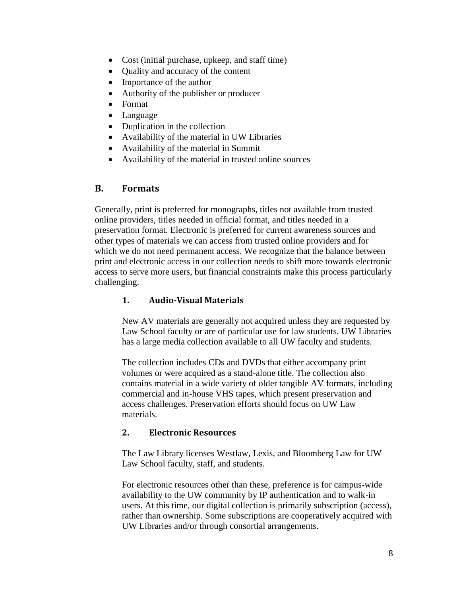- Cost (initial purchase, upkeep, and staff time)
- Quality and accuracy of the content
- Importance of the author
- Authority of the publisher or producer
- Format
- Language
- Duplication in the collection
- Availability of the material in UW Libraries
- Availability of the material in Summit
- Availability of the material in trusted online sources

#### <span id="page-7-0"></span>**B. Formats**

Generally, print is preferred for monographs, titles not available from trusted online providers, titles needed in official format, and titles needed in a preservation format. Electronic is preferred for current awareness sources and other types of materials we can access from trusted online providers and for which we do not need permanent access. We recognize that the balance between print and electronic access in our collection needs to shift more towards electronic access to serve more users, but financial constraints make this process particularly challenging.

#### <span id="page-7-1"></span>**1. Audio-Visual Materials**

New AV materials are generally not acquired unless they are requested by Law School faculty or are of particular use for law students. UW Libraries has a large media collection available to all UW faculty and students.

The collection includes CDs and DVDs that either accompany print volumes or were acquired as a stand-alone title. The collection also contains material in a wide variety of older tangible AV formats, including commercial and in-house VHS tapes, which present preservation and access challenges. Preservation efforts should focus on UW Law materials.

#### <span id="page-7-2"></span>**2. Electronic Resources**

The Law Library licenses Westlaw, Lexis, and Bloomberg Law for UW Law School faculty, staff, and students.

For electronic resources other than these, preference is for campus-wide availability to the UW community by IP authentication and to walk-in users. At this time, our digital collection is primarily subscription (access), rather than ownership. Some subscriptions are cooperatively acquired with UW Libraries and/or through consortial arrangements.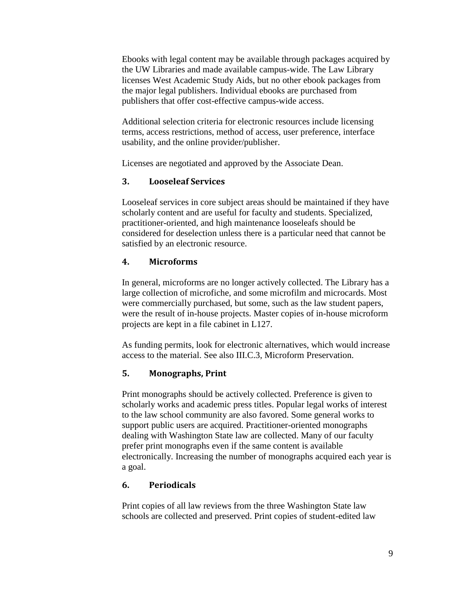Ebooks with legal content may be available through packages acquired by the UW Libraries and made available campus-wide. The Law Library licenses West Academic Study Aids, but no other ebook packages from the major legal publishers. Individual ebooks are purchased from publishers that offer cost-effective campus-wide access.

Additional selection criteria for electronic resources include licensing terms, access restrictions, method of access, user preference, interface usability, and the online provider/publisher.

Licenses are negotiated and approved by the Associate Dean.

#### <span id="page-8-0"></span>**3. Looseleaf Services**

Looseleaf services in core subject areas should be maintained if they have scholarly content and are useful for faculty and students. Specialized, practitioner-oriented, and high maintenance looseleafs should be considered for deselection unless there is a particular need that cannot be satisfied by an electronic resource.

#### <span id="page-8-1"></span>**4. Microforms**

In general, microforms are no longer actively collected. The Library has a large collection of microfiche, and some microfilm and microcards. Most were commercially purchased, but some, such as the law student papers, were the result of in-house projects. Master copies of in-house microform projects are kept in a file cabinet in L127.

As funding permits, look for electronic alternatives, which would increase access to the material. See also III.C.3, Microform Preservation.

## <span id="page-8-2"></span>**5. Monographs, Print**

Print monographs should be actively collected. Preference is given to scholarly works and academic press titles. Popular legal works of interest to the law school community are also favored. Some general works to support public users are acquired. Practitioner-oriented monographs dealing with Washington State law are collected. Many of our faculty prefer print monographs even if the same content is available electronically. Increasing the number of monographs acquired each year is a goal.

#### <span id="page-8-3"></span>**6. Periodicals**

Print copies of all law reviews from the three Washington State law schools are collected and preserved. Print copies of student-edited law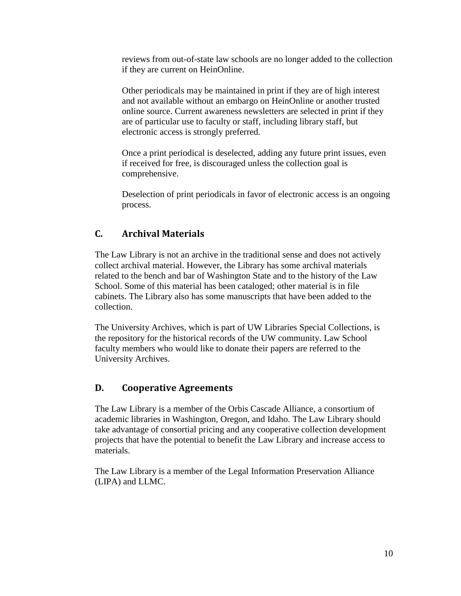reviews from out-of-state law schools are no longer added to the collection if they are current on HeinOnline.

Other periodicals may be maintained in print if they are of high interest and not available without an embargo on HeinOnline or another trusted online source. Current awareness newsletters are selected in print if they are of particular use to faculty or staff, including library staff, but electronic access is strongly preferred.

Once a print periodical is deselected, adding any future print issues, even if received for free, is discouraged unless the collection goal is comprehensive.

Deselection of print periodicals in favor of electronic access is an ongoing process.

## <span id="page-9-0"></span>**C. Archival Materials**

The Law Library is not an archive in the traditional sense and does not actively collect archival material. However, the Library has some archival materials related to the bench and bar of Washington State and to the history of the Law School. Some of this material has been cataloged; other material is in file cabinets. The Library also has some manuscripts that have been added to the collection.

The University Archives, which is part of UW Libraries Special Collections, is the repository for the historical records of the UW community. Law School faculty members who would like to donate their papers are referred to the University Archives.

## <span id="page-9-1"></span>**D. Cooperative Agreements**

The Law Library is a member of the Orbis Cascade Alliance, a consortium of academic libraries in Washington, Oregon, and Idaho. The Law Library should take advantage of consortial pricing and any cooperative collection development projects that have the potential to benefit the Law Library and increase access to materials.

The Law Library is a member of the Legal Information Preservation Alliance (LIPA) and LLMC.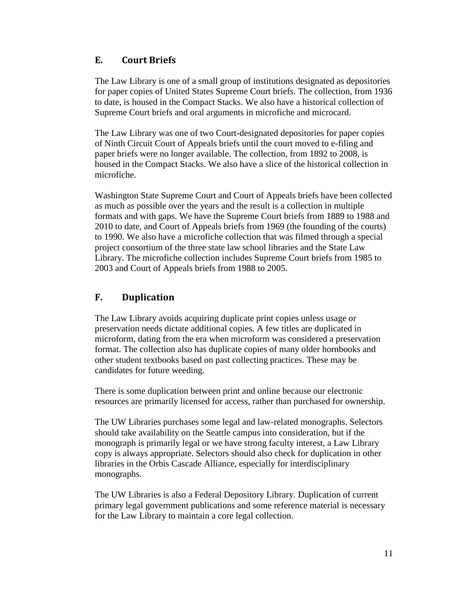## <span id="page-10-0"></span>**E. Court Briefs**

The Law Library is one of a small group of institutions designated as depositories for paper copies of United States Supreme Court briefs. The collection, from 1936 to date, is housed in the Compact Stacks. We also have a historical collection of Supreme Court briefs and oral arguments in microfiche and microcard.

The Law Library was one of two Court-designated depositories for paper copies of Ninth Circuit Court of Appeals briefs until the court moved to e-filing and paper briefs were no longer available. The collection, from 1892 to 2008, is housed in the Compact Stacks. We also have a slice of the historical collection in microfiche.

Washington State Supreme Court and Court of Appeals briefs have been collected as much as possible over the years and the result is a collection in multiple formats and with gaps. We have the Supreme Court briefs from 1889 to 1988 and 2010 to date, and Court of Appeals briefs from 1969 (the founding of the courts) to 1990. We also have a microfiche collection that was filmed through a special project consortium of the three state law school libraries and the State Law Library. The microfiche collection includes Supreme Court briefs from 1985 to 2003 and Court of Appeals briefs from 1988 to 2005.

## <span id="page-10-1"></span>**F. Duplication**

The Law Library avoids acquiring duplicate print copies unless usage or preservation needs dictate additional copies. A few titles are duplicated in microform, dating from the era when microform was considered a preservation format. The collection also has duplicate copies of many older hornbooks and other student textbooks based on past collecting practices. These may be candidates for future weeding.

There is some duplication between print and online because our electronic resources are primarily licensed for access, rather than purchased for ownership.

The UW Libraries purchases some legal and law-related monographs. Selectors should take availability on the Seattle campus into consideration, but if the monograph is primarily legal or we have strong faculty interest, a Law Library copy is always appropriate. Selectors should also check for duplication in other libraries in the Orbis Cascade Alliance, especially for interdisciplinary monographs.

The UW Libraries is also a Federal Depository Library. Duplication of current primary legal government publications and some reference material is necessary for the Law Library to maintain a core legal collection.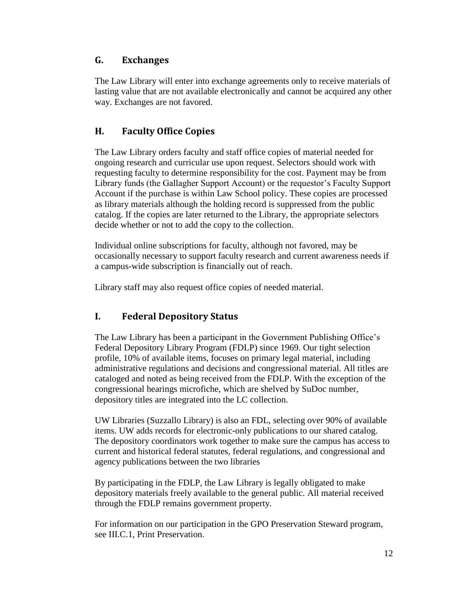## <span id="page-11-0"></span>**G. Exchanges**

The Law Library will enter into exchange agreements only to receive materials of lasting value that are not available electronically and cannot be acquired any other way. Exchanges are not favored.

## <span id="page-11-1"></span>**H. Faculty Office Copies**

The Law Library orders faculty and staff office copies of material needed for ongoing research and curricular use upon request. Selectors should work with requesting faculty to determine responsibility for the cost. Payment may be from Library funds (the Gallagher Support Account) or the requestor's Faculty Support Account if the purchase is within Law School policy. These copies are processed as library materials although the holding record is suppressed from the public catalog. If the copies are later returned to the Library, the appropriate selectors decide whether or not to add the copy to the collection.

Individual online subscriptions for faculty, although not favored, may be occasionally necessary to support faculty research and current awareness needs if a campus-wide subscription is financially out of reach.

Library staff may also request office copies of needed material.

## <span id="page-11-2"></span>**I. Federal Depository Status**

The Law Library has been a participant in the Government Publishing Office's Federal Depository Library Program (FDLP) since 1969. Our tight selection profile, 10% of available items, focuses on primary legal material, including administrative regulations and decisions and congressional material. All titles are cataloged and noted as being received from the FDLP. With the exception of the congressional hearings microfiche, which are shelved by SuDoc number, depository titles are integrated into the LC collection.

UW Libraries (Suzzallo Library) is also an FDL, selecting over 90% of available items. UW adds records for electronic-only publications to our shared catalog. The depository coordinators work together to make sure the campus has access to current and historical federal statutes, federal regulations, and congressional and agency publications between the two libraries

By participating in the FDLP, the Law Library is legally obligated to make depository materials freely available to the general public. All material received through the FDLP remains government property.

For information on our participation in the GPO Preservation Steward program, see III.C.1, Print Preservation.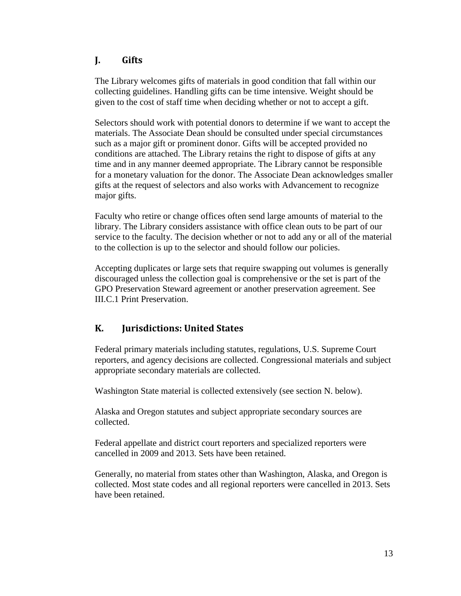## <span id="page-12-0"></span>**J. Gifts**

The Library welcomes gifts of materials in good condition that fall within our collecting guidelines. Handling gifts can be time intensive. Weight should be given to the cost of staff time when deciding whether or not to accept a gift.

Selectors should work with potential donors to determine if we want to accept the materials. The Associate Dean should be consulted under special circumstances such as a major gift or prominent donor. Gifts will be accepted provided no conditions are attached. The Library retains the right to dispose of gifts at any time and in any manner deemed appropriate. The Library cannot be responsible for a monetary valuation for the donor. The Associate Dean acknowledges smaller gifts at the request of selectors and also works with Advancement to recognize major gifts.

Faculty who retire or change offices often send large amounts of material to the library. The Library considers assistance with office clean outs to be part of our service to the faculty. The decision whether or not to add any or all of the material to the collection is up to the selector and should follow our policies.

Accepting duplicates or large sets that require swapping out volumes is generally discouraged unless the collection goal is comprehensive or the set is part of the GPO Preservation Steward agreement or another preservation agreement. See III.C.1 Print Preservation.

## <span id="page-12-1"></span>**K. Jurisdictions: United States**

Federal primary materials including statutes, regulations, U.S. Supreme Court reporters, and agency decisions are collected. Congressional materials and subject appropriate secondary materials are collected.

Washington State material is collected extensively (see section N. below).

Alaska and Oregon statutes and subject appropriate secondary sources are collected.

Federal appellate and district court reporters and specialized reporters were cancelled in 2009 and 2013. Sets have been retained.

Generally, no material from states other than Washington, Alaska, and Oregon is collected. Most state codes and all regional reporters were cancelled in 2013. Sets have been retained.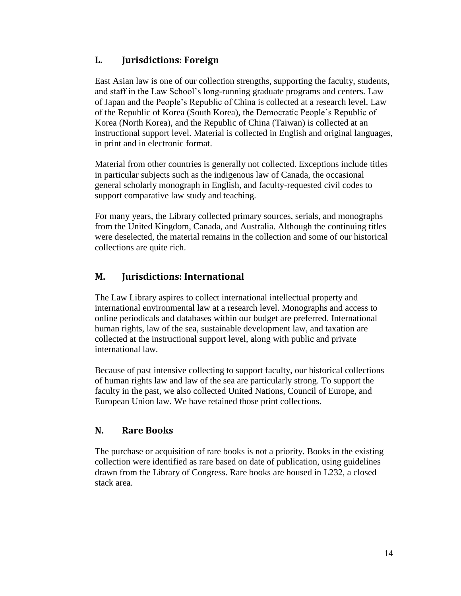## <span id="page-13-0"></span>**L. Jurisdictions: Foreign**

East Asian law is one of our collection strengths, supporting the faculty, students, and staff in the Law School's long-running graduate programs and centers. Law of Japan and the People's Republic of China is collected at a research level. Law of the Republic of Korea (South Korea), the Democratic People's Republic of Korea (North Korea), and the Republic of China (Taiwan) is collected at an instructional support level. Material is collected in English and original languages, in print and in electronic format.

Material from other countries is generally not collected. Exceptions include titles in particular subjects such as the indigenous law of Canada, the occasional general scholarly monograph in English, and faculty-requested civil codes to support comparative law study and teaching.

For many years, the Library collected primary sources, serials, and monographs from the United Kingdom, Canada, and Australia. Although the continuing titles were deselected, the material remains in the collection and some of our historical collections are quite rich.

## <span id="page-13-1"></span>**M. Jurisdictions: International**

The Law Library aspires to collect international intellectual property and international environmental law at a research level. Monographs and access to online periodicals and databases within our budget are preferred. International human rights, law of the sea, sustainable development law, and taxation are collected at the instructional support level, along with public and private international law.

Because of past intensive collecting to support faculty, our historical collections of human rights law and law of the sea are particularly strong. To support the faculty in the past, we also collected United Nations, Council of Europe, and European Union law. We have retained those print collections.

## <span id="page-13-2"></span>**N. Rare Books**

The purchase or acquisition of rare books is not a priority. Books in the existing collection were identified as rare based on date of publication, using guidelines drawn from the Library of Congress. Rare books are housed in L232, a closed stack area.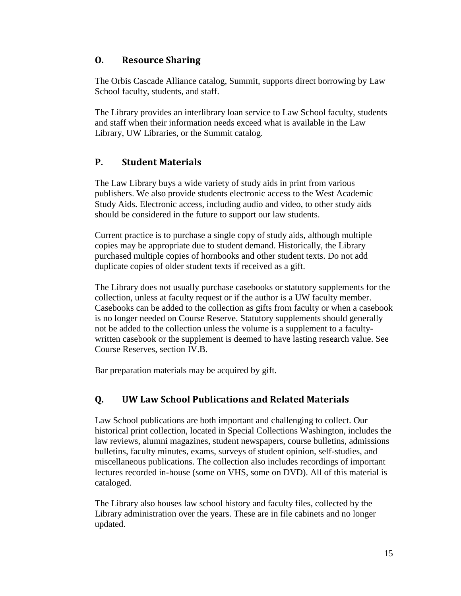## <span id="page-14-0"></span>**O. Resource Sharing**

The Orbis Cascade Alliance catalog, Summit, supports direct borrowing by Law School faculty, students, and staff.

The Library provides an interlibrary loan service to Law School faculty, students and staff when their information needs exceed what is available in the Law Library, UW Libraries, or the Summit catalog.

## <span id="page-14-1"></span>**P. Student Materials**

The Law Library buys a wide variety of study aids in print from various publishers. We also provide students electronic access to the West Academic Study Aids. Electronic access, including audio and video, to other study aids should be considered in the future to support our law students.

Current practice is to purchase a single copy of study aids, although multiple copies may be appropriate due to student demand. Historically, the Library purchased multiple copies of hornbooks and other student texts. Do not add duplicate copies of older student texts if received as a gift.

The Library does not usually purchase casebooks or statutory supplements for the collection, unless at faculty request or if the author is a UW faculty member. Casebooks can be added to the collection as gifts from faculty or when a casebook is no longer needed on Course Reserve. Statutory supplements should generally not be added to the collection unless the volume is a supplement to a facultywritten casebook or the supplement is deemed to have lasting research value. See Course Reserves, section IV.B.

Bar preparation materials may be acquired by gift.

## <span id="page-14-2"></span>**Q. UW Law School Publications and Related Materials**

Law School publications are both important and challenging to collect. Our historical print collection, located in Special Collections Washington, includes the law reviews, alumni magazines, student newspapers, course bulletins, admissions bulletins, faculty minutes, exams, surveys of student opinion, self-studies, and miscellaneous publications. The collection also includes recordings of important lectures recorded in-house (some on VHS, some on DVD). All of this material is cataloged.

The Library also houses law school history and faculty files, collected by the Library administration over the years. These are in file cabinets and no longer updated.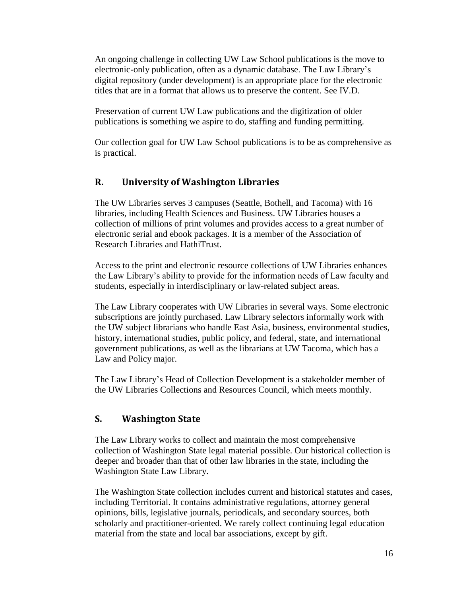An ongoing challenge in collecting UW Law School publications is the move to electronic-only publication, often as a dynamic database. The Law Library's digital repository (under development) is an appropriate place for the electronic titles that are in a format that allows us to preserve the content. See IV.D.

Preservation of current UW Law publications and the digitization of older publications is something we aspire to do, staffing and funding permitting.

Our collection goal for UW Law School publications is to be as comprehensive as is practical.

## <span id="page-15-0"></span>**R. University of Washington Libraries**

The UW Libraries serves 3 campuses (Seattle, Bothell, and Tacoma) with 16 libraries, including Health Sciences and Business. UW Libraries houses a collection of millions of print volumes and provides access to a great number of electronic serial and ebook packages. It is a member of the Association of Research Libraries and HathiTrust.

Access to the print and electronic resource collections of UW Libraries enhances the Law Library's ability to provide for the information needs of Law faculty and students, especially in interdisciplinary or law-related subject areas.

The Law Library cooperates with UW Libraries in several ways. Some electronic subscriptions are jointly purchased. Law Library selectors informally work with the UW subject librarians who handle East Asia, business, environmental studies, history, international studies, public policy, and federal, state, and international government publications, as well as the librarians at UW Tacoma, which has a Law and Policy major.

The Law Library's Head of Collection Development is a stakeholder member of the UW Libraries Collections and Resources Council, which meets monthly.

## <span id="page-15-1"></span>**S. Washington State**

The Law Library works to collect and maintain the most comprehensive collection of Washington State legal material possible. Our historical collection is deeper and broader than that of other law libraries in the state, including the Washington State Law Library.

The Washington State collection includes current and historical statutes and cases, including Territorial. It contains administrative regulations, attorney general opinions, bills, legislative journals, periodicals, and secondary sources, both scholarly and practitioner-oriented. We rarely collect continuing legal education material from the state and local bar associations, except by gift.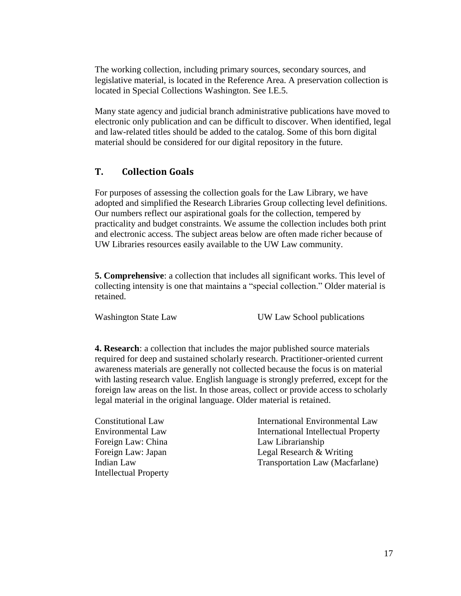The working collection, including primary sources, secondary sources, and legislative material, is located in the Reference Area. A preservation collection is located in Special Collections Washington. See I.E.5.

Many state agency and judicial branch administrative publications have moved to electronic only publication and can be difficult to discover. When identified, legal and law-related titles should be added to the catalog. Some of this born digital material should be considered for our digital repository in the future.

#### <span id="page-16-0"></span>**T. Collection Goals**

For purposes of assessing the collection goals for the Law Library, we have adopted and simplified the Research Libraries Group collecting level definitions. Our numbers reflect our aspirational goals for the collection, tempered by practicality and budget constraints. We assume the collection includes both print and electronic access. The subject areas below are often made richer because of UW Libraries resources easily available to the UW Law community.

**5. Comprehensive**: a collection that includes all significant works. This level of collecting intensity is one that maintains a "special collection." Older material is retained.

Washington State Law UW Law School publications

**4. Research**: a collection that includes the major published source materials required for deep and sustained scholarly research. Practitioner-oriented current awareness materials are generally not collected because the focus is on material with lasting research value. English language is strongly preferred, except for the foreign law areas on the list. In those areas, collect or provide access to scholarly legal material in the original language. Older material is retained.

Constitutional Law Environmental Law Foreign Law: China Foreign Law: Japan Indian Law Intellectual Property

International Environmental Law International Intellectual Property Law Librarianship Legal Research & Writing Transportation Law (Macfarlane)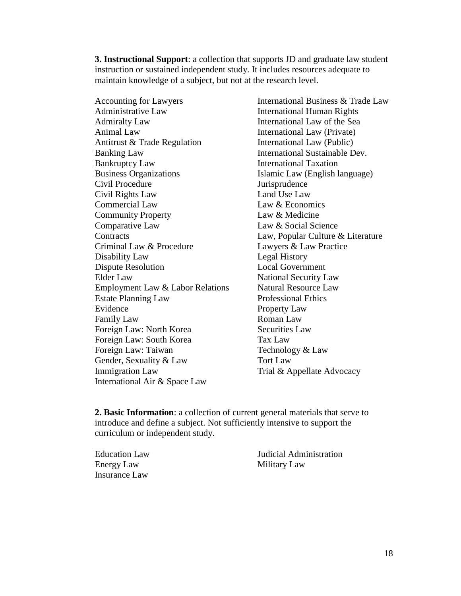**3. Instructional Support**: a collection that supports JD and graduate law student instruction or sustained independent study. It includes resources adequate to maintain knowledge of a subject, but not at the research level.

Accounting for Lawyers Administrative Law Admiralty Law Animal Law Antitrust & Trade Regulation Banking Law Bankruptcy Law Business Organizations Civil Procedure Civil Rights Law Commercial Law Community Property Comparative Law **Contracts** Criminal Law & Procedure Disability Law Dispute Resolution Elder Law Employment Law & Labor Relations Estate Planning Law Evidence Family Law Foreign Law: North Korea Foreign Law: South Korea Foreign Law: Taiwan Gender, Sexuality & Law Immigration Law International Air & Space Law

International Business & Trade Law International Human Rights International Law of the Sea International Law (Private) International Law (Public) International Sustainable Dev. International Taxation Islamic Law (English language) Jurisprudence Land Use Law Law & Economics Law & Medicine Law & Social Science Law, Popular Culture & Literature Lawyers & Law Practice Legal History Local Government National Security Law Natural Resource Law Professional Ethics Property Law Roman Law Securities Law Tax Law Technology & Law Tort Law Trial & Appellate Advocacy

**2. Basic Information**: a collection of current general materials that serve to introduce and define a subject. Not sufficiently intensive to support the curriculum or independent study.

Education Law Energy Law Insurance Law

Judicial Administration Military Law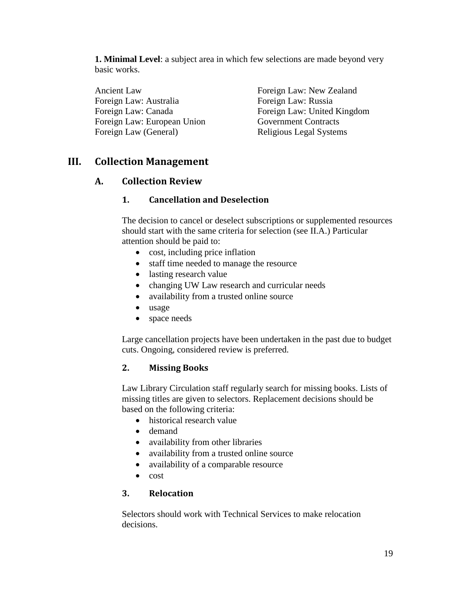**1. Minimal Level**: a subject area in which few selections are made beyond very basic works.

Ancient Law Foreign Law: Australia Foreign Law: Canada Foreign Law: European Union Foreign Law (General)

Foreign Law: New Zealand Foreign Law: Russia Foreign Law: United Kingdom Government Contracts Religious Legal Systems

## <span id="page-18-1"></span><span id="page-18-0"></span>**III. Collection Management**

#### <span id="page-18-2"></span>**A. Collection Review**

#### **1. Cancellation and Deselection**

The decision to cancel or deselect subscriptions or supplemented resources should start with the same criteria for selection (see II.A.) Particular attention should be paid to:

- cost, including price inflation
- staff time needed to manage the resource
- lasting research value
- changing UW Law research and curricular needs
- availability from a trusted online source
- usage
- space needs

Large cancellation projects have been undertaken in the past due to budget cuts. Ongoing, considered review is preferred.

#### <span id="page-18-3"></span>**2. Missing Books**

Law Library Circulation staff regularly search for missing books. Lists of missing titles are given to selectors. Replacement decisions should be based on the following criteria:

- historical research value
- demand
- availability from other libraries
- availability from a trusted online source
- availability of a comparable resource
- $\bullet$  cost

#### <span id="page-18-4"></span>**3. Relocation**

Selectors should work with Technical Services to make relocation decisions.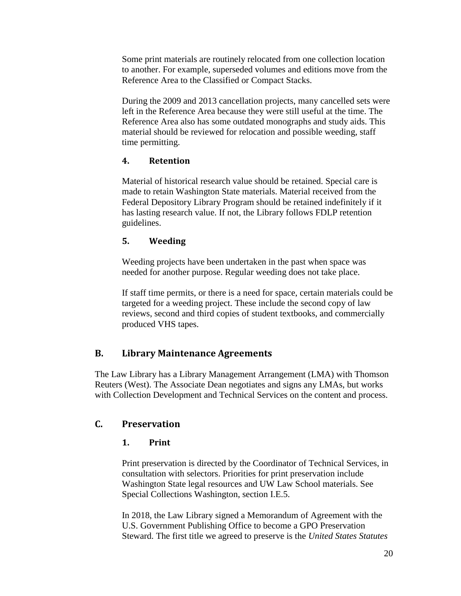Some print materials are routinely relocated from one collection location to another. For example, superseded volumes and editions move from the Reference Area to the Classified or Compact Stacks.

During the 2009 and 2013 cancellation projects, many cancelled sets were left in the Reference Area because they were still useful at the time. The Reference Area also has some outdated monographs and study aids. This material should be reviewed for relocation and possible weeding, staff time permitting.

#### <span id="page-19-0"></span>**4. Retention**

Material of historical research value should be retained. Special care is made to retain Washington State materials. Material received from the Federal Depository Library Program should be retained indefinitely if it has lasting research value. If not, the Library follows FDLP retention guidelines.

## <span id="page-19-1"></span>**5. Weeding**

Weeding projects have been undertaken in the past when space was needed for another purpose. Regular weeding does not take place.

If staff time permits, or there is a need for space, certain materials could be targeted for a weeding project. These include the second copy of law reviews, second and third copies of student textbooks, and commercially produced VHS tapes.

## <span id="page-19-2"></span>**B. Library Maintenance Agreements**

The Law Library has a Library Management Arrangement (LMA) with Thomson Reuters (West). The Associate Dean negotiates and signs any LMAs, but works with Collection Development and Technical Services on the content and process.

## <span id="page-19-4"></span><span id="page-19-3"></span>**C. Preservation**

## **1. Print**

Print preservation is directed by the Coordinator of Technical Services, in consultation with selectors. Priorities for print preservation include Washington State legal resources and UW Law School materials. See Special Collections Washington, section I.E.5.

In 2018, the Law Library signed a Memorandum of Agreement with the U.S. Government Publishing Office to become a GPO Preservation Steward. The first title we agreed to preserve is the *United States Statutes*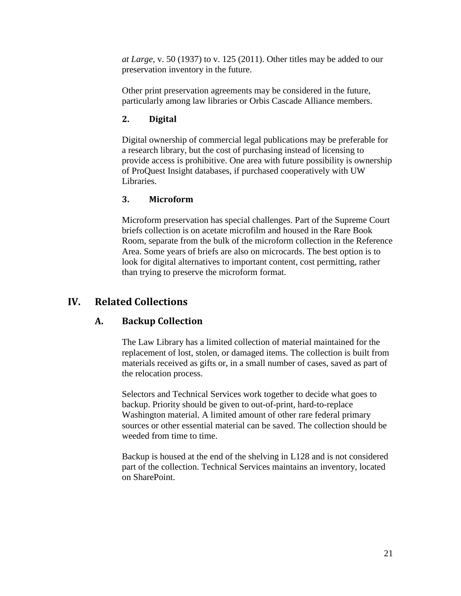*at Large*, v. 50 (1937) to v. 125 (2011). Other titles may be added to our preservation inventory in the future.

Other print preservation agreements may be considered in the future, particularly among law libraries or Orbis Cascade Alliance members.

## <span id="page-20-0"></span>**2. Digital**

Digital ownership of commercial legal publications may be preferable for a research library, but the cost of purchasing instead of licensing to provide access is prohibitive. One area with future possibility is ownership of ProQuest Insight databases, if purchased cooperatively with UW Libraries.

#### <span id="page-20-1"></span>**3. Microform**

Microform preservation has special challenges. Part of the Supreme Court briefs collection is on acetate microfilm and housed in the Rare Book Room, separate from the bulk of the microform collection in the Reference Area. Some years of briefs are also on microcards. The best option is to look for digital alternatives to important content, cost permitting, rather than trying to preserve the microform format.

## <span id="page-20-3"></span><span id="page-20-2"></span>**IV. Related Collections**

## **A. Backup Collection**

The Law Library has a limited collection of material maintained for the replacement of lost, stolen, or damaged items. The collection is built from materials received as gifts or, in a small number of cases, saved as part of the relocation process.

Selectors and Technical Services work together to decide what goes to backup. Priority should be given to out-of-print, hard-to-replace Washington material. A limited amount of other rare federal primary sources or other essential material can be saved. The collection should be weeded from time to time.

Backup is housed at the end of the shelving in L128 and is not considered part of the collection. Technical Services maintains an inventory, located on SharePoint.